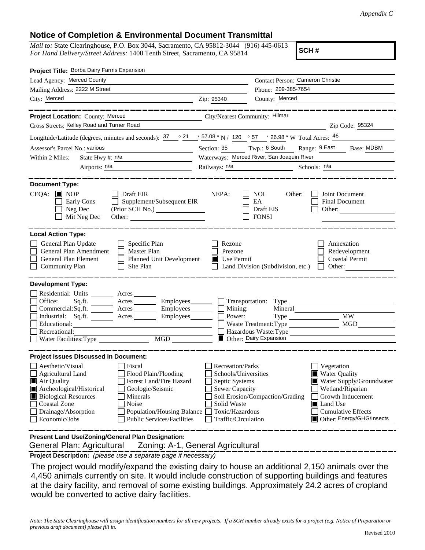## **Notice of Completion & Environmental Document Transmittal**

*Mail to:* State Clearinghouse, P.O. Box 3044, Sacramento, CA 95812-3044 (916) 445-0613 *For Hand Delivery/Street Address:* 1400 Tenth Street, Sacramento, CA 95814

**SCH #**

| Project Title: Borba Dairy Farms Expansion                                                                                                                                                                                                 |                                                                                                                                                                       |                                                                                                                                       |                                                                                                      |                                                                                                                                                                                        |  |
|--------------------------------------------------------------------------------------------------------------------------------------------------------------------------------------------------------------------------------------------|-----------------------------------------------------------------------------------------------------------------------------------------------------------------------|---------------------------------------------------------------------------------------------------------------------------------------|------------------------------------------------------------------------------------------------------|----------------------------------------------------------------------------------------------------------------------------------------------------------------------------------------|--|
| Lead Agency: Merced County                                                                                                                                                                                                                 | Contact Person: Cameron Christie                                                                                                                                      |                                                                                                                                       |                                                                                                      |                                                                                                                                                                                        |  |
| Mailing Address: 2222 M Street                                                                                                                                                                                                             |                                                                                                                                                                       | Phone: 209-385-7654                                                                                                                   |                                                                                                      |                                                                                                                                                                                        |  |
| City: Merced<br><u> 1990 - Johann Johann Stoff, deutscher Stoffen und der Stoffen und der Stoffen und der Stoffen und der Stoffen</u>                                                                                                      |                                                                                                                                                                       | Zip: 95340                                                                                                                            | County: Merced                                                                                       |                                                                                                                                                                                        |  |
|                                                                                                                                                                                                                                            |                                                                                                                                                                       |                                                                                                                                       |                                                                                                      |                                                                                                                                                                                        |  |
| Project Location: County: Merced                                                                                                                                                                                                           |                                                                                                                                                                       | City/Nearest Community: Hilmar                                                                                                        |                                                                                                      |                                                                                                                                                                                        |  |
| Cross Streets: Kelley Road and Turner Road                                                                                                                                                                                                 |                                                                                                                                                                       |                                                                                                                                       |                                                                                                      | Zip Code: 95324                                                                                                                                                                        |  |
| Longitude/Latitude (degrees, minutes and seconds): $\frac{37}{12}$ $\frac{21}{12}$ $\frac{57.08}{12}$ N / 120 $\degree$ 57 $\degree$ / 26.98 " W Total Acres: $\frac{46}{12}$                                                              |                                                                                                                                                                       |                                                                                                                                       |                                                                                                      |                                                                                                                                                                                        |  |
| Assessor's Parcel No.: various<br>the control of the control of the control of                                                                                                                                                             |                                                                                                                                                                       |                                                                                                                                       | Section: 35 Twp.: 6 South Range: 9 East                                                              | Base: MDBM                                                                                                                                                                             |  |
| State Hwy #: $n/a$<br>Within 2 Miles:<br><u> 1989 - Johann Barn, fransk politik (</u>                                                                                                                                                      |                                                                                                                                                                       | Waterways: Merced River, San Joaquin River                                                                                            |                                                                                                      |                                                                                                                                                                                        |  |
| Airports: n/a                                                                                                                                                                                                                              |                                                                                                                                                                       |                                                                                                                                       |                                                                                                      | Schools: n/a                                                                                                                                                                           |  |
| <b>Document Type:</b><br>$CEQA:$ MOP<br>Early Cons<br>Neg Dec<br>Mit Neg Dec                                                                                                                                                               | Draft EIR<br>Supplement/Subsequent EIR<br>$\Box$<br>Other:                                                                                                            | NEPA:                                                                                                                                 | <b>NOI</b><br>Other:<br>EA<br>Draft EIS<br><b>FONSI</b>                                              | Joint Document<br>Final Document<br>Other:                                                                                                                                             |  |
| <b>Local Action Type:</b><br>General Plan Update<br>General Plan Amendment<br>General Plan Element<br><b>Community Plan</b>                                                                                                                | Specific Plan<br>Master Plan<br>Planned Unit Development<br>Site Plan                                                                                                 | Rezone<br>Prezone<br>$\blacksquare$ Use Permit                                                                                        | Land Division (Subdivision, etc.)                                                                    | Annexation<br>Redevelopment<br><b>Coastal Permit</b><br>Other:                                                                                                                         |  |
| <b>Development Type:</b>                                                                                                                                                                                                                   |                                                                                                                                                                       |                                                                                                                                       |                                                                                                      |                                                                                                                                                                                        |  |
| Residential: Units _______<br>Office:<br>Sq.fit.<br>Commercial:Sq.ft. ________ Acres _______<br>Industrial: Sq.ft. Acres<br>Educational:<br>Recreational:<br>Water Facilities: Type                                                        | Acres<br>Acres Employees<br>Employees________<br>MGD                                                                                                                  | $\blacksquare$ Mining:<br>Power:                                                                                                      | Transportation: Type<br>Mineral<br>Type<br>Waste Treatment: Type<br><b>To Other: Dairy Expansion</b> | <b>MW</b><br>MGD<br>Hazardous Waste:Type                                                                                                                                               |  |
| <b>Project Issues Discussed in Document:</b>                                                                                                                                                                                               |                                                                                                                                                                       |                                                                                                                                       |                                                                                                      |                                                                                                                                                                                        |  |
| $\Box$ Aesthetic/Visual<br>Agricultural Land<br>Air Quality<br>Archeological/Historical<br><b>Biological Resources</b><br><b>Coastal Zone</b><br>Drainage/Absorption<br>Economic/Jobs<br>Present Land Use/Zoning/General Plan Designation: | Fiscal<br>Flood Plain/Flooding<br>Forest Land/Fire Hazard<br>Geologic/Seismic<br>Minerals<br>Noise<br>Population/Housing Balance<br><b>Public Services/Facilities</b> | Recreation/Parks<br>Schools/Universities<br>Septic Systems<br>Sewer Capacity<br>Solid Waste<br>Toxic/Hazardous<br>Traffic/Circulation | Soil Erosion/Compaction/Grading                                                                      | Vegetation<br><b>Water Quality</b><br>Water Supply/Groundwater<br>Wetland/Riparian<br>Growth Inducement<br><b>I</b> Land Use<br><b>Cumulative Effects</b><br>Other: Energy/GHG/Insects |  |
| General Plan: Agricultural<br>Zoning: A-1, General Agricultural                                                                                                                                                                            |                                                                                                                                                                       |                                                                                                                                       |                                                                                                      |                                                                                                                                                                                        |  |

**Project Description:** *(please use a separate page if necessary)*

 The project would modify/expand the existing dairy to house an additional 2,150 animals over the 4,450 animals currently on site. It would include construction of supporting buildings and features at the dairy facility, and removal of some existing buildings. Approximately 24.2 acres of cropland would be converted to active dairy facilities.

*Note: The State Clearinghouse will assign identification numbers for all new projects. If a SCH number already exists for a project (e.g. Notice of Preparation or previous draft document) please fill in.*